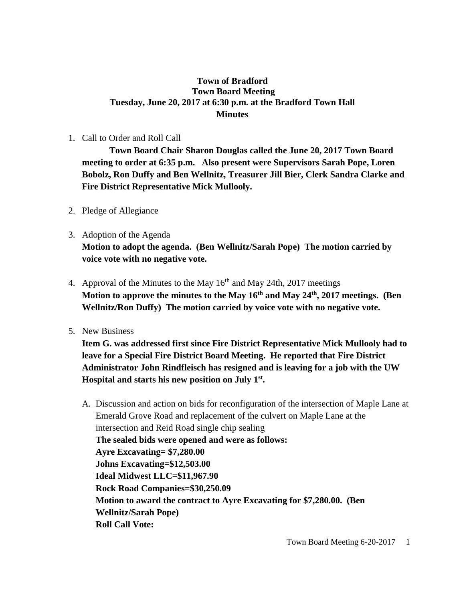# **Town of Bradford Town Board Meeting Tuesday, June 20, 2017 at 6:30 p.m. at the Bradford Town Hall Minutes**

#### 1. Call to Order and Roll Call

**Town Board Chair Sharon Douglas called the June 20, 2017 Town Board meeting to order at 6:35 p.m. Also present were Supervisors Sarah Pope, Loren Bobolz, Ron Duffy and Ben Wellnitz, Treasurer Jill Bier, Clerk Sandra Clarke and Fire District Representative Mick Mullooly.**

- 2. Pledge of Allegiance
- 3. Adoption of the Agenda **Motion to adopt the agenda. (Ben Wellnitz/Sarah Pope) The motion carried by voice vote with no negative vote.**
- 4. Approval of the Minutes to the May  $16<sup>th</sup>$  and May 24th, 2017 meetings **Motion to approve the minutes to the May 16th and May 24th, 2017 meetings. (Ben Wellnitz/Ron Duffy) The motion carried by voice vote with no negative vote.**
- 5. New Business

**Item G. was addressed first since Fire District Representative Mick Mullooly had to leave for a Special Fire District Board Meeting. He reported that Fire District Administrator John Rindfleisch has resigned and is leaving for a job with the UW Hospital and starts his new position on July 1st .**

A. Discussion and action on bids for reconfiguration of the intersection of Maple Lane at Emerald Grove Road and replacement of the culvert on Maple Lane at the intersection and Reid Road single chip sealing **The sealed bids were opened and were as follows: Ayre Excavating= \$7,280.00 Johns Excavating=\$12,503.00 Ideal Midwest LLC=\$11,967.90 Rock Road Companies=\$30,250.09 Motion to award the contract to Ayre Excavating for \$7,280.00. (Ben Wellnitz/Sarah Pope) Roll Call Vote:**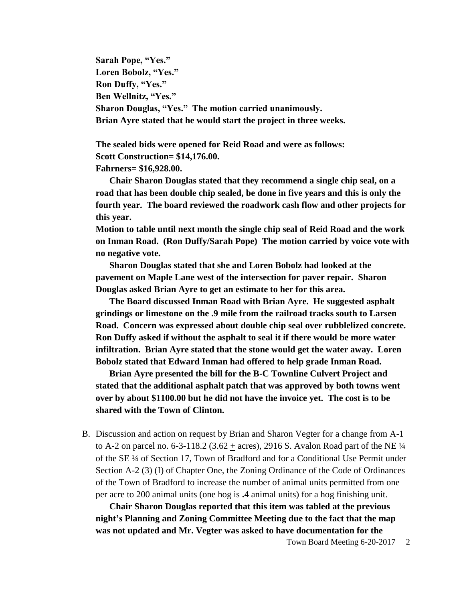**Sarah Pope, "Yes." Loren Bobolz, "Yes." Ron Duffy, "Yes." Ben Wellnitz, "Yes." Sharon Douglas, "Yes." The motion carried unanimously. Brian Ayre stated that he would start the project in three weeks.** 

**The sealed bids were opened for Reid Road and were as follows: Scott Construction= \$14,176.00. Fahrners= \$16,928.00.** 

**Chair Sharon Douglas stated that they recommend a single chip seal, on a road that has been double chip sealed, be done in five years and this is only the fourth year. The board reviewed the roadwork cash flow and other projects for this year.**

**Motion to table until next month the single chip seal of Reid Road and the work on Inman Road. (Ron Duffy/Sarah Pope) The motion carried by voice vote with no negative vote.**

**Sharon Douglas stated that she and Loren Bobolz had looked at the pavement on Maple Lane west of the intersection for paver repair. Sharon Douglas asked Brian Ayre to get an estimate to her for this area.** 

**The Board discussed Inman Road with Brian Ayre. He suggested asphalt grindings or limestone on the .9 mile from the railroad tracks south to Larsen Road. Concern was expressed about double chip seal over rubblelized concrete. Ron Duffy asked if without the asphalt to seal it if there would be more water infiltration. Brian Ayre stated that the stone would get the water away. Loren Bobolz stated that Edward Inman had offered to help grade Inman Road.**

**Brian Ayre presented the bill for the B-C Townline Culvert Project and stated that the additional asphalt patch that was approved by both towns went over by about \$1100.00 but he did not have the invoice yet. The cost is to be shared with the Town of Clinton.**

B. Discussion and action on request by Brian and Sharon Vegter for a change from A-1 to A-2 on parcel no. 6-3-118.2 (3.62  $\pm$  acres), 2916 S. Avalon Road part of the NE  $\frac{1}{4}$ of the SE ¼ of Section 17, Town of Bradford and for a Conditional Use Permit under Section A-2 (3) (I) of Chapter One, the Zoning Ordinance of the Code of Ordinances of the Town of Bradford to increase the number of animal units permitted from one per acre to 200 animal units (one hog is **.4** animal units) for a hog finishing unit.

**Chair Sharon Douglas reported that this item was tabled at the previous night's Planning and Zoning Committee Meeting due to the fact that the map was not updated and Mr. Vegter was asked to have documentation for the**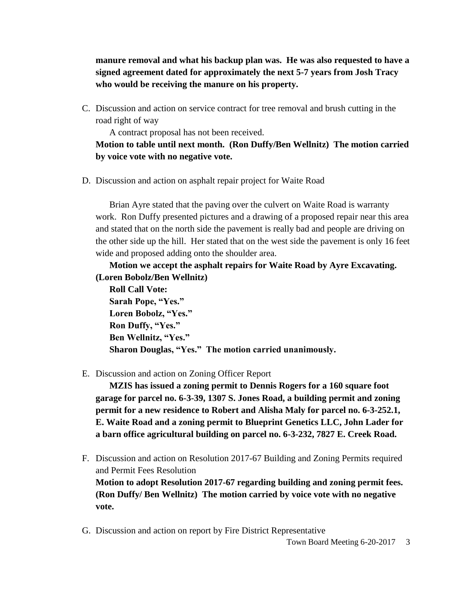**manure removal and what his backup plan was. He was also requested to have a signed agreement dated for approximately the next 5-7 years from Josh Tracy who would be receiving the manure on his property.**

C. Discussion and action on service contract for tree removal and brush cutting in the road right of way

A contract proposal has not been received.

**Motion to table until next month. (Ron Duffy/Ben Wellnitz) The motion carried by voice vote with no negative vote.**

D. Discussion and action on asphalt repair project for Waite Road

Brian Ayre stated that the paving over the culvert on Waite Road is warranty work. Ron Duffy presented pictures and a drawing of a proposed repair near this area and stated that on the north side the pavement is really bad and people are driving on the other side up the hill. Her stated that on the west side the pavement is only 16 feet wide and proposed adding onto the shoulder area.

# **Motion we accept the asphalt repairs for Waite Road by Ayre Excavating. (Loren Bobolz/Ben Wellnitz)**

**Roll Call Vote: Sarah Pope, "Yes." Loren Bobolz, "Yes." Ron Duffy, "Yes." Ben Wellnitz, "Yes." Sharon Douglas, "Yes." The motion carried unanimously.**

#### E. Discussion and action on Zoning Officer Report

**MZIS has issued a zoning permit to Dennis Rogers for a 160 square foot garage for parcel no. 6-3-39, 1307 S. Jones Road, a building permit and zoning permit for a new residence to Robert and Alisha Maly for parcel no. 6-3-252.1, E. Waite Road and a zoning permit to Blueprint Genetics LLC, John Lader for a barn office agricultural building on parcel no. 6-3-232, 7827 E. Creek Road.**

- F. Discussion and action on Resolution 2017-67 Building and Zoning Permits required and Permit Fees Resolution **Motion to adopt Resolution 2017-67 regarding building and zoning permit fees. (Ron Duffy/ Ben Wellnitz) The motion carried by voice vote with no negative vote.**
- G. Discussion and action on report by Fire District Representative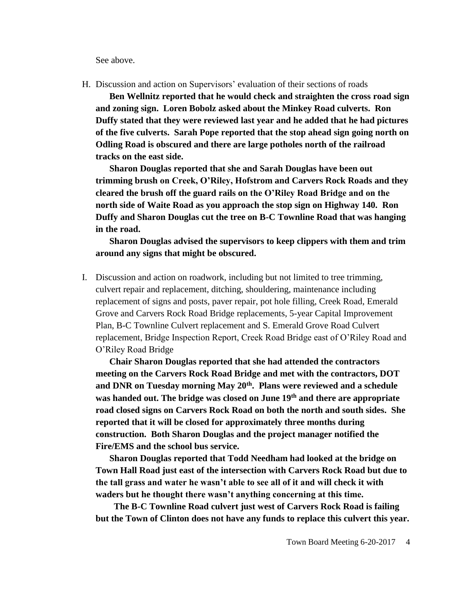See above.

H. Discussion and action on Supervisors' evaluation of their sections of roads

**Ben Wellnitz reported that he would check and straighten the cross road sign and zoning sign. Loren Bobolz asked about the Minkey Road culverts. Ron Duffy stated that they were reviewed last year and he added that he had pictures of the five culverts. Sarah Pope reported that the stop ahead sign going north on Odling Road is obscured and there are large potholes north of the railroad tracks on the east side.**

**Sharon Douglas reported that she and Sarah Douglas have been out trimming brush on Creek, O'Riley, Hofstrom and Carvers Rock Roads and they cleared the brush off the guard rails on the O'Riley Road Bridge and on the north side of Waite Road as you approach the stop sign on Highway 140. Ron Duffy and Sharon Douglas cut the tree on B-C Townline Road that was hanging in the road.** 

**Sharon Douglas advised the supervisors to keep clippers with them and trim around any signs that might be obscured.**

I. Discussion and action on roadwork, including but not limited to tree trimming, culvert repair and replacement, ditching, shouldering, maintenance including replacement of signs and posts, paver repair, pot hole filling, Creek Road, Emerald Grove and Carvers Rock Road Bridge replacements, 5-year Capital Improvement Plan, B-C Townline Culvert replacement and S. Emerald Grove Road Culvert replacement, Bridge Inspection Report, Creek Road Bridge east of O'Riley Road and O'Riley Road Bridge

**Chair Sharon Douglas reported that she had attended the contractors meeting on the Carvers Rock Road Bridge and met with the contractors, DOT and DNR on Tuesday morning May 20th. Plans were reviewed and a schedule was handed out. The bridge was closed on June 19th and there are appropriate road closed signs on Carvers Rock Road on both the north and south sides. She reported that it will be closed for approximately three months during construction. Both Sharon Douglas and the project manager notified the Fire/EMS and the school bus service.** 

**Sharon Douglas reported that Todd Needham had looked at the bridge on Town Hall Road just east of the intersection with Carvers Rock Road but due to the tall grass and water he wasn't able to see all of it and will check it with waders but he thought there wasn't anything concerning at this time.**

**The B-C Townline Road culvert just west of Carvers Rock Road is failing but the Town of Clinton does not have any funds to replace this culvert this year.**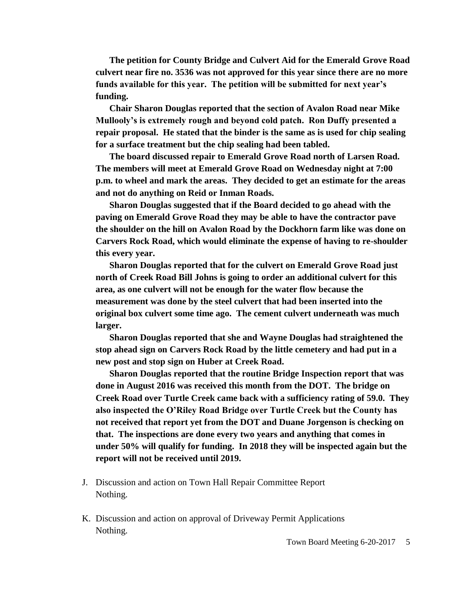**The petition for County Bridge and Culvert Aid for the Emerald Grove Road culvert near fire no. 3536 was not approved for this year since there are no more funds available for this year. The petition will be submitted for next year's funding.** 

**Chair Sharon Douglas reported that the section of Avalon Road near Mike Mullooly's is extremely rough and beyond cold patch. Ron Duffy presented a repair proposal. He stated that the binder is the same as is used for chip sealing for a surface treatment but the chip sealing had been tabled.**

**The board discussed repair to Emerald Grove Road north of Larsen Road. The members will meet at Emerald Grove Road on Wednesday night at 7:00 p.m. to wheel and mark the areas. They decided to get an estimate for the areas and not do anything on Reid or Inman Roads.**

**Sharon Douglas suggested that if the Board decided to go ahead with the paving on Emerald Grove Road they may be able to have the contractor pave the shoulder on the hill on Avalon Road by the Dockhorn farm like was done on Carvers Rock Road, which would eliminate the expense of having to re-shoulder this every year.**

**Sharon Douglas reported that for the culvert on Emerald Grove Road just north of Creek Road Bill Johns is going to order an additional culvert for this area, as one culvert will not be enough for the water flow because the measurement was done by the steel culvert that had been inserted into the original box culvert some time ago. The cement culvert underneath was much larger.**

**Sharon Douglas reported that she and Wayne Douglas had straightened the stop ahead sign on Carvers Rock Road by the little cemetery and had put in a new post and stop sign on Huber at Creek Road.**

**Sharon Douglas reported that the routine Bridge Inspection report that was done in August 2016 was received this month from the DOT. The bridge on Creek Road over Turtle Creek came back with a sufficiency rating of 59.0. They also inspected the O'Riley Road Bridge over Turtle Creek but the County has not received that report yet from the DOT and Duane Jorgenson is checking on that. The inspections are done every two years and anything that comes in under 50% will qualify for funding. In 2018 they will be inspected again but the report will not be received until 2019.**

- J. Discussion and action on Town Hall Repair Committee Report Nothing.
- K. Discussion and action on approval of Driveway Permit Applications Nothing.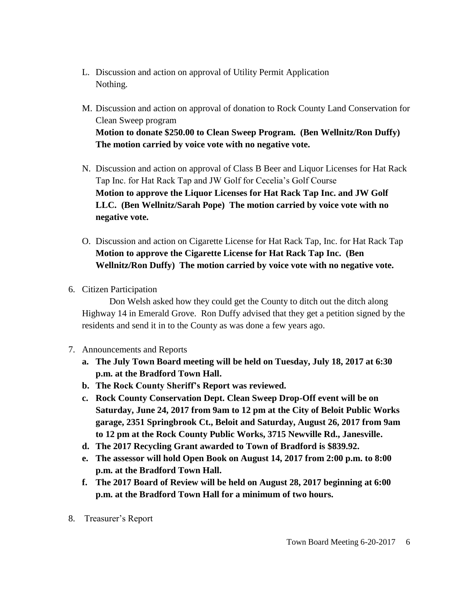- L. Discussion and action on approval of Utility Permit Application Nothing.
- M. Discussion and action on approval of donation to Rock County Land Conservation for Clean Sweep program **Motion to donate \$250.00 to Clean Sweep Program. (Ben Wellnitz/Ron Duffy) The motion carried by voice vote with no negative vote.**
- N. Discussion and action on approval of Class B Beer and Liquor Licenses for Hat Rack Tap Inc. for Hat Rack Tap and JW Golf for Cecelia's Golf Course **Motion to approve the Liquor Licenses for Hat Rack Tap Inc. and JW Golf LLC. (Ben Wellnitz/Sarah Pope) The motion carried by voice vote with no negative vote.**
- O. Discussion and action on Cigarette License for Hat Rack Tap, Inc. for Hat Rack Tap **Motion to approve the Cigarette License for Hat Rack Tap Inc. (Ben Wellnitz/Ron Duffy) The motion carried by voice vote with no negative vote.**
- 6. Citizen Participation

Don Welsh asked how they could get the County to ditch out the ditch along Highway 14 in Emerald Grove. Ron Duffy advised that they get a petition signed by the residents and send it in to the County as was done a few years ago.

- 7. Announcements and Reports
	- **a. The July Town Board meeting will be held on Tuesday, July 18, 2017 at 6:30 p.m. at the Bradford Town Hall.**
	- **b. The Rock County Sheriff's Report was reviewed.**
	- **c. Rock County Conservation Dept. Clean Sweep Drop-Off event will be on Saturday, June 24, 2017 from 9am to 12 pm at the City of Beloit Public Works garage, 2351 Springbrook Ct., Beloit and Saturday, August 26, 2017 from 9am to 12 pm at the Rock County Public Works, 3715 Newville Rd., Janesville.**
	- **d. The 2017 Recycling Grant awarded to Town of Bradford is \$839.92.**
	- **e. The assessor will hold Open Book on August 14, 2017 from 2:00 p.m. to 8:00 p.m. at the Bradford Town Hall.**
	- **f. The 2017 Board of Review will be held on August 28, 2017 beginning at 6:00 p.m. at the Bradford Town Hall for a minimum of two hours.**
- 8. Treasurer's Report